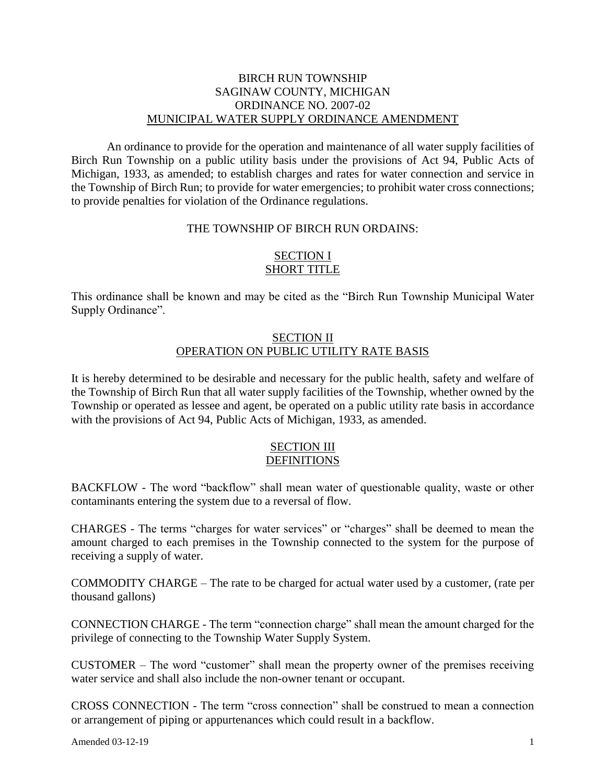### BIRCH RUN TOWNSHIP SAGINAW COUNTY, MICHIGAN ORDINANCE NO. 2007-02 MUNICIPAL WATER SUPPLY ORDINANCE AMENDMENT

An ordinance to provide for the operation and maintenance of all water supply facilities of Birch Run Township on a public utility basis under the provisions of Act 94, Public Acts of Michigan, 1933, as amended; to establish charges and rates for water connection and service in the Township of Birch Run; to provide for water emergencies; to prohibit water cross connections; to provide penalties for violation of the Ordinance regulations.

#### THE TOWNSHIP OF BIRCH RUN ORDAINS:

### SECTION I SHORT TITLE

This ordinance shall be known and may be cited as the "Birch Run Township Municipal Water Supply Ordinance".

### SECTION II OPERATION ON PUBLIC UTILITY RATE BASIS

It is hereby determined to be desirable and necessary for the public health, safety and welfare of the Township of Birch Run that all water supply facilities of the Township, whether owned by the Township or operated as lessee and agent, be operated on a public utility rate basis in accordance with the provisions of Act 94, Public Acts of Michigan, 1933, as amended.

#### SECTION III DEFINITIONS

BACKFLOW - The word "backflow" shall mean water of questionable quality, waste or other contaminants entering the system due to a reversal of flow.

CHARGES - The terms "charges for water services" or "charges" shall be deemed to mean the amount charged to each premises in the Township connected to the system for the purpose of receiving a supply of water.

COMMODITY CHARGE – The rate to be charged for actual water used by a customer, (rate per thousand gallons)

CONNECTION CHARGE - The term "connection charge" shall mean the amount charged for the privilege of connecting to the Township Water Supply System.

CUSTOMER – The word "customer" shall mean the property owner of the premises receiving water service and shall also include the non-owner tenant or occupant.

CROSS CONNECTION - The term "cross connection" shall be construed to mean a connection or arrangement of piping or appurtenances which could result in a backflow.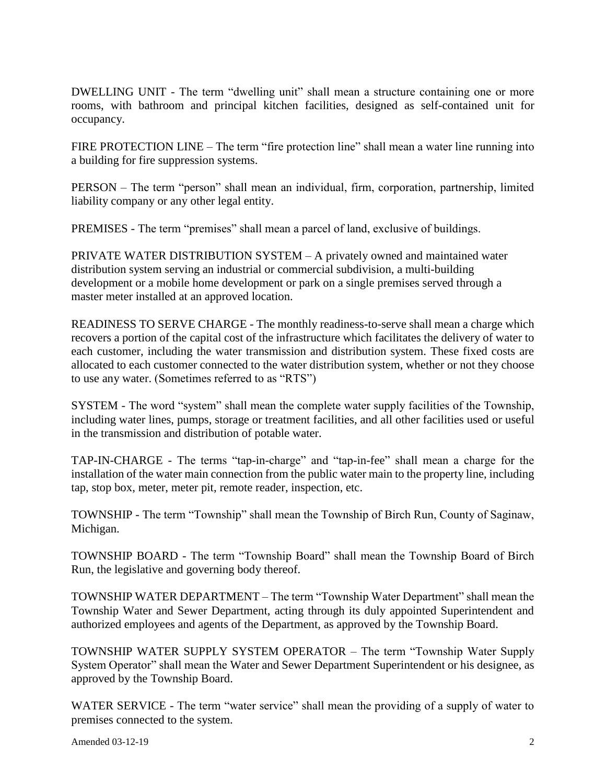DWELLING UNIT - The term "dwelling unit" shall mean a structure containing one or more rooms, with bathroom and principal kitchen facilities, designed as self-contained unit for occupancy.

FIRE PROTECTION LINE – The term "fire protection line" shall mean a water line running into a building for fire suppression systems.

PERSON – The term "person" shall mean an individual, firm, corporation, partnership, limited liability company or any other legal entity.

PREMISES - The term "premises" shall mean a parcel of land, exclusive of buildings.

PRIVATE WATER DISTRIBUTION SYSTEM – A privately owned and maintained water distribution system serving an industrial or commercial subdivision, a multi-building development or a mobile home development or park on a single premises served through a master meter installed at an approved location.

READINESS TO SERVE CHARGE - The monthly readiness-to-serve shall mean a charge which recovers a portion of the capital cost of the infrastructure which facilitates the delivery of water to each customer, including the water transmission and distribution system. These fixed costs are allocated to each customer connected to the water distribution system, whether or not they choose to use any water. (Sometimes referred to as "RTS")

SYSTEM - The word "system" shall mean the complete water supply facilities of the Township, including water lines, pumps, storage or treatment facilities, and all other facilities used or useful in the transmission and distribution of potable water.

TAP-IN-CHARGE - The terms "tap-in-charge" and "tap-in-fee" shall mean a charge for the installation of the water main connection from the public water main to the property line, including tap, stop box, meter, meter pit, remote reader, inspection, etc.

TOWNSHIP - The term "Township" shall mean the Township of Birch Run, County of Saginaw, Michigan.

TOWNSHIP BOARD - The term "Township Board" shall mean the Township Board of Birch Run, the legislative and governing body thereof.

TOWNSHIP WATER DEPARTMENT – The term "Township Water Department" shall mean the Township Water and Sewer Department, acting through its duly appointed Superintendent and authorized employees and agents of the Department, as approved by the Township Board.

TOWNSHIP WATER SUPPLY SYSTEM OPERATOR – The term "Township Water Supply System Operator" shall mean the Water and Sewer Department Superintendent or his designee, as approved by the Township Board.

WATER SERVICE - The term "water service" shall mean the providing of a supply of water to premises connected to the system.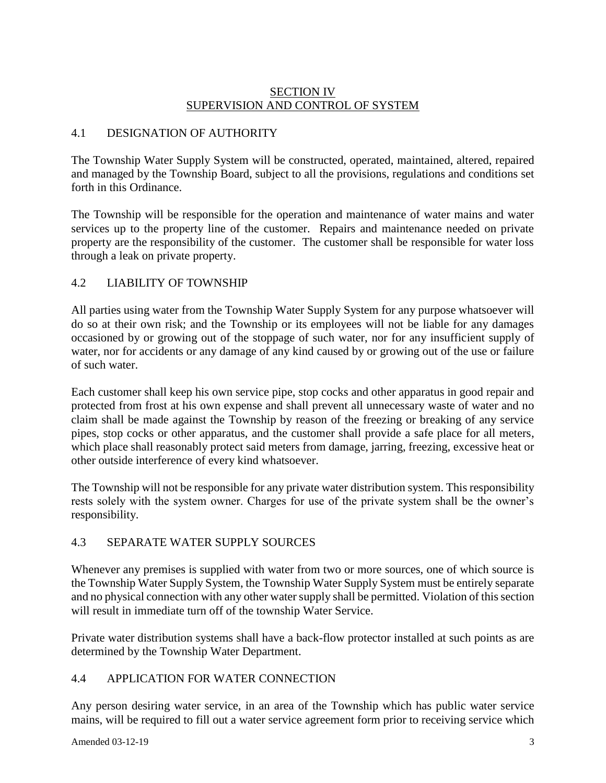## SECTION IV SUPERVISION AND CONTROL OF SYSTEM

## 4.1 DESIGNATION OF AUTHORITY

The Township Water Supply System will be constructed, operated, maintained, altered, repaired and managed by the Township Board, subject to all the provisions, regulations and conditions set forth in this Ordinance.

The Township will be responsible for the operation and maintenance of water mains and water services up to the property line of the customer. Repairs and maintenance needed on private property are the responsibility of the customer. The customer shall be responsible for water loss through a leak on private property.

## 4.2 LIABILITY OF TOWNSHIP

All parties using water from the Township Water Supply System for any purpose whatsoever will do so at their own risk; and the Township or its employees will not be liable for any damages occasioned by or growing out of the stoppage of such water, nor for any insufficient supply of water, nor for accidents or any damage of any kind caused by or growing out of the use or failure of such water.

Each customer shall keep his own service pipe, stop cocks and other apparatus in good repair and protected from frost at his own expense and shall prevent all unnecessary waste of water and no claim shall be made against the Township by reason of the freezing or breaking of any service pipes, stop cocks or other apparatus, and the customer shall provide a safe place for all meters, which place shall reasonably protect said meters from damage, jarring, freezing, excessive heat or other outside interference of every kind whatsoever.

The Township will not be responsible for any private water distribution system. This responsibility rests solely with the system owner. Charges for use of the private system shall be the owner's responsibility.

## 4.3 SEPARATE WATER SUPPLY SOURCES

Whenever any premises is supplied with water from two or more sources, one of which source is the Township Water Supply System, the Township Water Supply System must be entirely separate and no physical connection with any other water supply shall be permitted. Violation of this section will result in immediate turn off of the township Water Service.

Private water distribution systems shall have a back-flow protector installed at such points as are determined by the Township Water Department.

# 4.4 APPLICATION FOR WATER CONNECTION

Any person desiring water service, in an area of the Township which has public water service mains, will be required to fill out a water service agreement form prior to receiving service which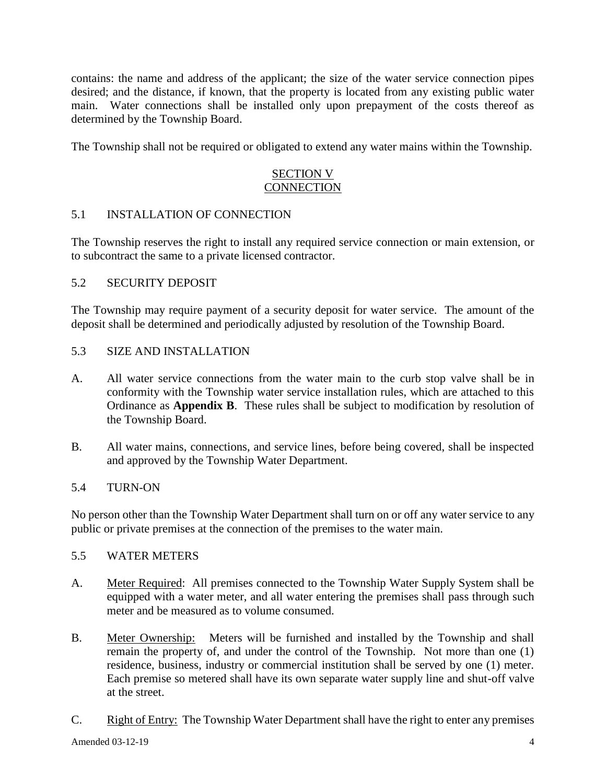contains: the name and address of the applicant; the size of the water service connection pipes desired; and the distance, if known, that the property is located from any existing public water main. Water connections shall be installed only upon prepayment of the costs thereof as determined by the Township Board.

The Township shall not be required or obligated to extend any water mains within the Township.

## SECTION V **CONNECTION**

### 5.1 INSTALLATION OF CONNECTION

The Township reserves the right to install any required service connection or main extension, or to subcontract the same to a private licensed contractor.

### 5.2 SECURITY DEPOSIT

The Township may require payment of a security deposit for water service. The amount of the deposit shall be determined and periodically adjusted by resolution of the Township Board.

### 5.3 SIZE AND INSTALLATION

- A. All water service connections from the water main to the curb stop valve shall be in conformity with the Township water service installation rules, which are attached to this Ordinance as **Appendix B**. These rules shall be subject to modification by resolution of the Township Board.
- B. All water mains, connections, and service lines, before being covered, shall be inspected and approved by the Township Water Department.

### 5.4 TURN-ON

No person other than the Township Water Department shall turn on or off any water service to any public or private premises at the connection of the premises to the water main.

### 5.5 WATER METERS

- A. Meter Required: All premises connected to the Township Water Supply System shall be equipped with a water meter, and all water entering the premises shall pass through such meter and be measured as to volume consumed.
- B. Meter Ownership: Meters will be furnished and installed by the Township and shall remain the property of, and under the control of the Township. Not more than one (1) residence, business, industry or commercial institution shall be served by one (1) meter. Each premise so metered shall have its own separate water supply line and shut-off valve at the street.
- C. Right of Entry: The Township Water Department shall have the right to enter any premises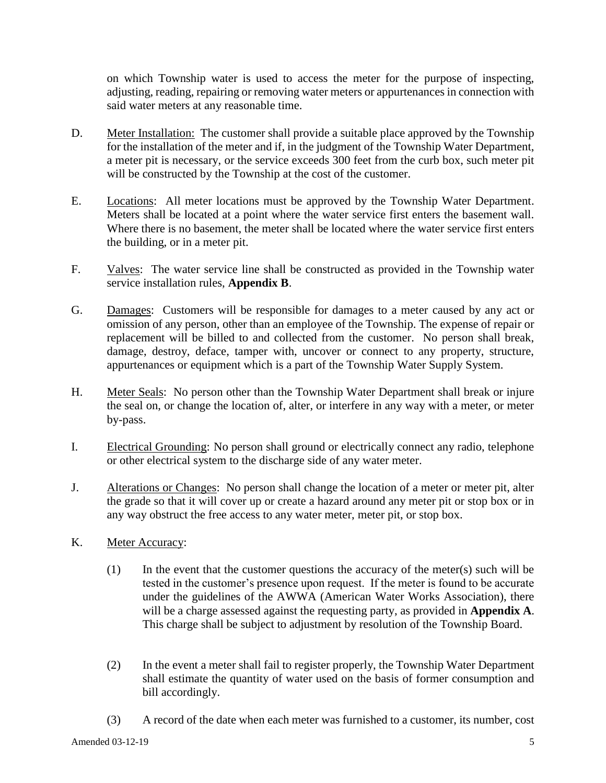on which Township water is used to access the meter for the purpose of inspecting, adjusting, reading, repairing or removing water meters or appurtenances in connection with said water meters at any reasonable time.

- D. Meter Installation: The customer shall provide a suitable place approved by the Township for the installation of the meter and if, in the judgment of the Township Water Department, a meter pit is necessary, or the service exceeds 300 feet from the curb box, such meter pit will be constructed by the Township at the cost of the customer.
- E. Locations: All meter locations must be approved by the Township Water Department. Meters shall be located at a point where the water service first enters the basement wall. Where there is no basement, the meter shall be located where the water service first enters the building, or in a meter pit.
- F. Valves: The water service line shall be constructed as provided in the Township water service installation rules, **Appendix B**.
- G. Damages: Customers will be responsible for damages to a meter caused by any act or omission of any person, other than an employee of the Township. The expense of repair or replacement will be billed to and collected from the customer. No person shall break, damage, destroy, deface, tamper with, uncover or connect to any property, structure, appurtenances or equipment which is a part of the Township Water Supply System.
- H. Meter Seals: No person other than the Township Water Department shall break or injure the seal on, or change the location of, alter, or interfere in any way with a meter, or meter by-pass.
- I. Electrical Grounding: No person shall ground or electrically connect any radio, telephone or other electrical system to the discharge side of any water meter.
- J. Alterations or Changes: No person shall change the location of a meter or meter pit, alter the grade so that it will cover up or create a hazard around any meter pit or stop box or in any way obstruct the free access to any water meter, meter pit, or stop box.
- K. Meter Accuracy:
	- (1) In the event that the customer questions the accuracy of the meter(s) such will be tested in the customer's presence upon request. If the meter is found to be accurate under the guidelines of the AWWA (American Water Works Association), there will be a charge assessed against the requesting party, as provided in **Appendix A**. This charge shall be subject to adjustment by resolution of the Township Board.
	- (2) In the event a meter shall fail to register properly, the Township Water Department shall estimate the quantity of water used on the basis of former consumption and bill accordingly.
	- (3) A record of the date when each meter was furnished to a customer, its number, cost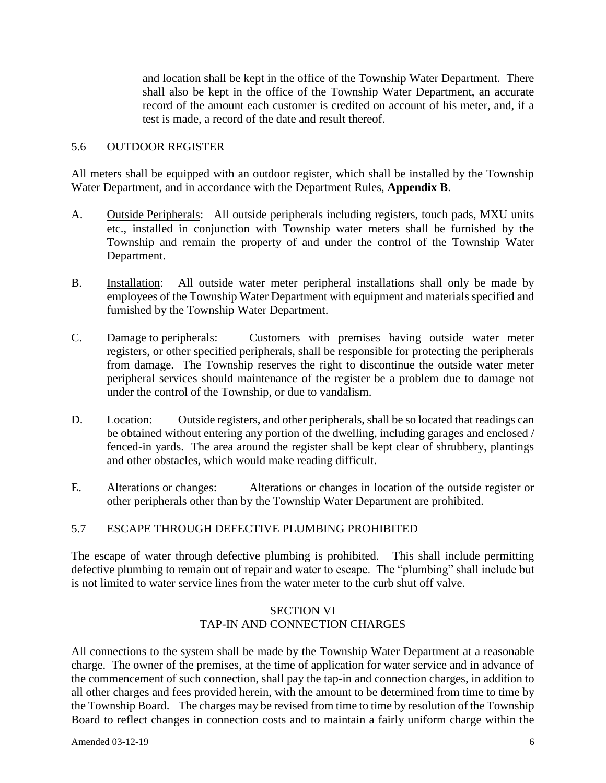and location shall be kept in the office of the Township Water Department. There shall also be kept in the office of the Township Water Department, an accurate record of the amount each customer is credited on account of his meter, and, if a test is made, a record of the date and result thereof.

### 5.6 OUTDOOR REGISTER

All meters shall be equipped with an outdoor register, which shall be installed by the Township Water Department, and in accordance with the Department Rules, **Appendix B**.

- A. Outside Peripherals: All outside peripherals including registers, touch pads, MXU units etc., installed in conjunction with Township water meters shall be furnished by the Township and remain the property of and under the control of the Township Water Department.
- B. Installation: All outside water meter peripheral installations shall only be made by employees of the Township Water Department with equipment and materials specified and furnished by the Township Water Department.
- C. Damage to peripherals: Customers with premises having outside water meter registers, or other specified peripherals, shall be responsible for protecting the peripherals from damage. The Township reserves the right to discontinue the outside water meter peripheral services should maintenance of the register be a problem due to damage not under the control of the Township, or due to vandalism.
- D. Location: Outside registers, and other peripherals, shall be so located that readings can be obtained without entering any portion of the dwelling, including garages and enclosed / fenced-in yards. The area around the register shall be kept clear of shrubbery, plantings and other obstacles, which would make reading difficult.
- E. Alterations or changes: Alterations or changes in location of the outside register or other peripherals other than by the Township Water Department are prohibited.

### 5.7 ESCAPE THROUGH DEFECTIVE PLUMBING PROHIBITED

The escape of water through defective plumbing is prohibited. This shall include permitting defective plumbing to remain out of repair and water to escape. The "plumbing" shall include but is not limited to water service lines from the water meter to the curb shut off valve.

### SECTION VI TAP-IN AND CONNECTION CHARGES

All connections to the system shall be made by the Township Water Department at a reasonable charge. The owner of the premises, at the time of application for water service and in advance of the commencement of such connection, shall pay the tap-in and connection charges, in addition to all other charges and fees provided herein, with the amount to be determined from time to time by the Township Board. The charges may be revised from time to time by resolution of the Township Board to reflect changes in connection costs and to maintain a fairly uniform charge within the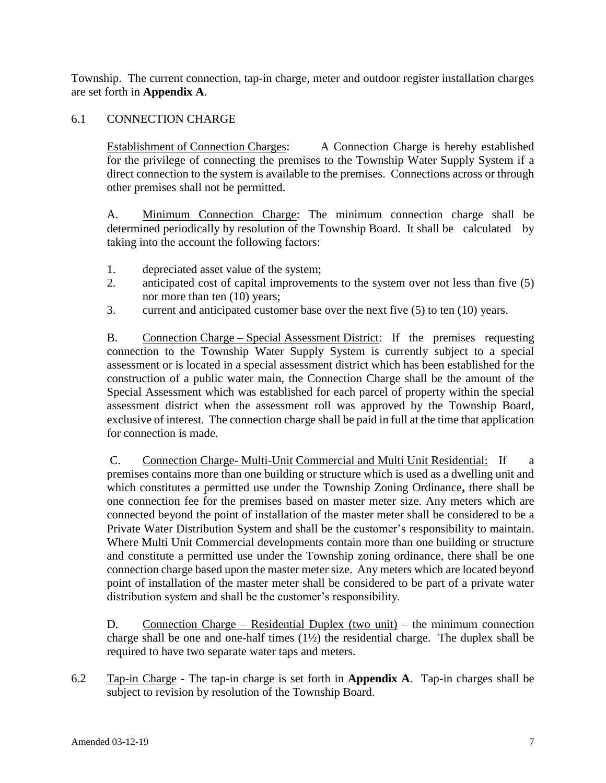Township. The current connection, tap-in charge, meter and outdoor register installation charges are set forth in **Appendix A**.

## 6.1 CONNECTION CHARGE

Establishment of Connection Charges: A Connection Charge is hereby established for the privilege of connecting the premises to the Township Water Supply System if a direct connection to the system is available to the premises. Connections across or through other premises shall not be permitted.

A. Minimum Connection Charge: The minimum connection charge shall be determined periodically by resolution of the Township Board. It shall be calculated by taking into the account the following factors:

- 1. depreciated asset value of the system;
- 2. anticipated cost of capital improvements to the system over not less than five (5) nor more than ten (10) years;
- 3. current and anticipated customer base over the next five (5) to ten (10) years.

B. Connection Charge – Special Assessment District: If the premises requesting connection to the Township Water Supply System is currently subject to a special assessment or is located in a special assessment district which has been established for the construction of a public water main, the Connection Charge shall be the amount of the Special Assessment which was established for each parcel of property within the special assessment district when the assessment roll was approved by the Township Board, exclusive of interest. The connection charge shall be paid in full at the time that application for connection is made.

C. Connection Charge- Multi-Unit Commercial and Multi Unit Residential: If a premises contains more than one building or structure which is used as a dwelling unit and which constitutes a permitted use under the Township Zoning Ordinance**,** there shall be one connection fee for the premises based on master meter size. Any meters which are connected beyond the point of installation of the master meter shall be considered to be a Private Water Distribution System and shall be the customer's responsibility to maintain. Where Multi Unit Commercial developments contain more than one building or structure and constitute a permitted use under the Township zoning ordinance, there shall be one connection charge based upon the master meter size. Any meters which are located beyond point of installation of the master meter shall be considered to be part of a private water distribution system and shall be the customer's responsibility.

D. Connection Charge – Residential Duplex (two unit) – the minimum connection charge shall be one and one-half times  $(1\frac{1}{2})$  the residential charge. The duplex shall be required to have two separate water taps and meters.

6.2 Tap-in Charge - The tap-in charge is set forth in **Appendix A**. Tap-in charges shall be subject to revision by resolution of the Township Board.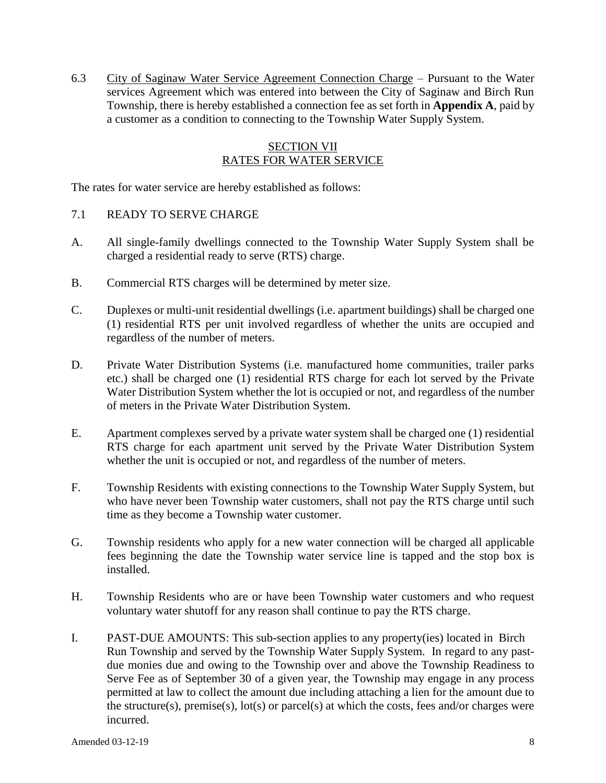6.3 City of Saginaw Water Service Agreement Connection Charge – Pursuant to the Water services Agreement which was entered into between the City of Saginaw and Birch Run Township, there is hereby established a connection fee as set forth in **Appendix A**, paid by a customer as a condition to connecting to the Township Water Supply System.

### **SECTION VII** RATES FOR WATER SERVICE

The rates for water service are hereby established as follows:

- 7.1 READY TO SERVE CHARGE
- A. All single-family dwellings connected to the Township Water Supply System shall be charged a residential ready to serve (RTS) charge.
- B. Commercial RTS charges will be determined by meter size.
- C. Duplexes or multi-unit residential dwellings (i.e. apartment buildings) shall be charged one (1) residential RTS per unit involved regardless of whether the units are occupied and regardless of the number of meters.
- D. Private Water Distribution Systems (i.e. manufactured home communities, trailer parks etc.) shall be charged one (1) residential RTS charge for each lot served by the Private Water Distribution System whether the lot is occupied or not, and regardless of the number of meters in the Private Water Distribution System.
- E. Apartment complexes served by a private water system shall be charged one (1) residential RTS charge for each apartment unit served by the Private Water Distribution System whether the unit is occupied or not, and regardless of the number of meters.
- F. Township Residents with existing connections to the Township Water Supply System, but who have never been Township water customers, shall not pay the RTS charge until such time as they become a Township water customer.
- G. Township residents who apply for a new water connection will be charged all applicable fees beginning the date the Township water service line is tapped and the stop box is installed.
- H. Township Residents who are or have been Township water customers and who request voluntary water shutoff for any reason shall continue to pay the RTS charge.
- I. PAST-DUE AMOUNTS: This sub-section applies to any property(ies) located in Birch Run Township and served by the Township Water Supply System. In regard to any pastdue monies due and owing to the Township over and above the Township Readiness to Serve Fee as of September 30 of a given year, the Township may engage in any process permitted at law to collect the amount due including attaching a lien for the amount due to the structure(s), premise(s),  $\text{lot}(s)$  or parcel(s) at which the costs, fees and/or charges were incurred.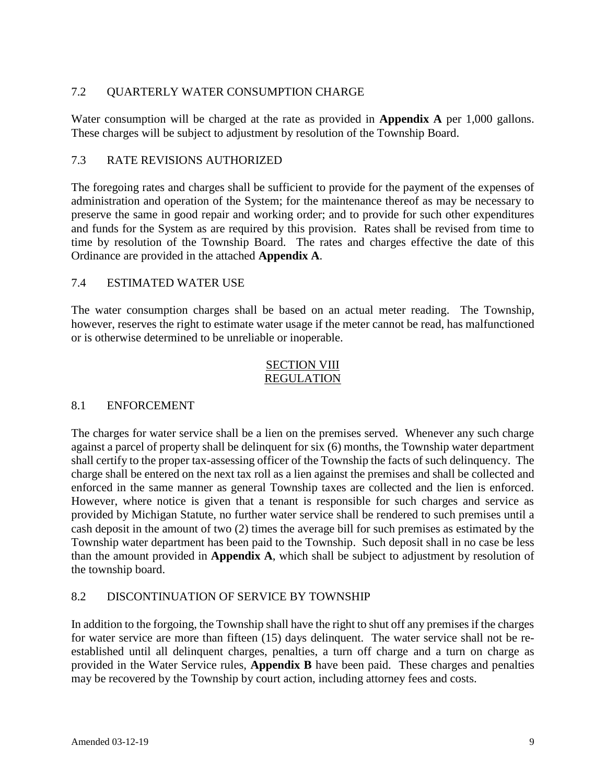## 7.2 QUARTERLY WATER CONSUMPTION CHARGE

Water consumption will be charged at the rate as provided in **Appendix A** per 1,000 gallons. These charges will be subject to adjustment by resolution of the Township Board.

### 7.3 RATE REVISIONS AUTHORIZED

The foregoing rates and charges shall be sufficient to provide for the payment of the expenses of administration and operation of the System; for the maintenance thereof as may be necessary to preserve the same in good repair and working order; and to provide for such other expenditures and funds for the System as are required by this provision. Rates shall be revised from time to time by resolution of the Township Board. The rates and charges effective the date of this Ordinance are provided in the attached **Appendix A**.

### 7.4 ESTIMATED WATER USE

The water consumption charges shall be based on an actual meter reading. The Township, however, reserves the right to estimate water usage if the meter cannot be read, has malfunctioned or is otherwise determined to be unreliable or inoperable.

#### SECTION VIII REGULATION

### 8.1 ENFORCEMENT

The charges for water service shall be a lien on the premises served. Whenever any such charge against a parcel of property shall be delinquent for six (6) months, the Township water department shall certify to the proper tax-assessing officer of the Township the facts of such delinquency. The charge shall be entered on the next tax roll as a lien against the premises and shall be collected and enforced in the same manner as general Township taxes are collected and the lien is enforced. However, where notice is given that a tenant is responsible for such charges and service as provided by Michigan Statute, no further water service shall be rendered to such premises until a cash deposit in the amount of two (2) times the average bill for such premises as estimated by the Township water department has been paid to the Township. Such deposit shall in no case be less than the amount provided in **Appendix A**, which shall be subject to adjustment by resolution of the township board.

### 8.2 DISCONTINUATION OF SERVICE BY TOWNSHIP

In addition to the forgoing, the Township shall have the right to shut off any premises if the charges for water service are more than fifteen (15) days delinquent. The water service shall not be reestablished until all delinquent charges, penalties, a turn off charge and a turn on charge as provided in the Water Service rules, **Appendix B** have been paid. These charges and penalties may be recovered by the Township by court action, including attorney fees and costs.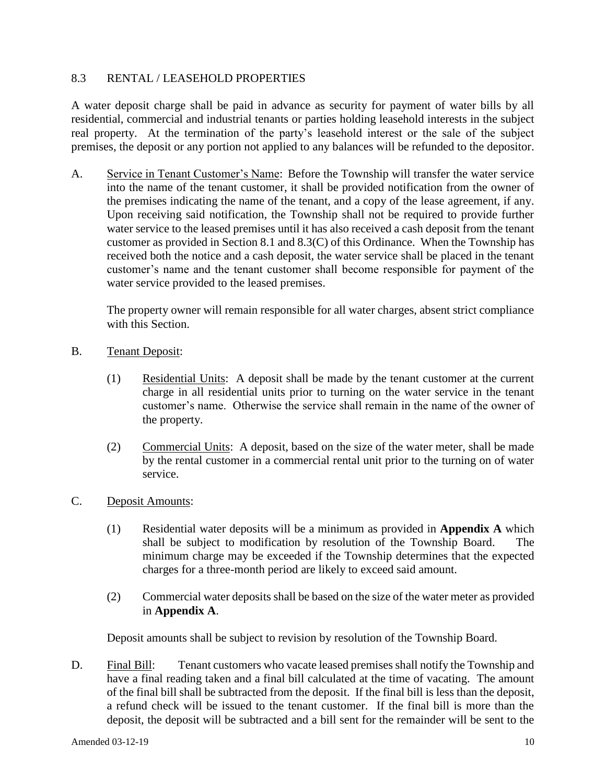## 8.3 RENTAL / LEASEHOLD PROPERTIES

A water deposit charge shall be paid in advance as security for payment of water bills by all residential, commercial and industrial tenants or parties holding leasehold interests in the subject real property. At the termination of the party's leasehold interest or the sale of the subject premises, the deposit or any portion not applied to any balances will be refunded to the depositor.

A. Service in Tenant Customer's Name: Before the Township will transfer the water service into the name of the tenant customer, it shall be provided notification from the owner of the premises indicating the name of the tenant, and a copy of the lease agreement, if any. Upon receiving said notification, the Township shall not be required to provide further water service to the leased premises until it has also received a cash deposit from the tenant customer as provided in Section 8.1 and 8.3(C) of this Ordinance. When the Township has received both the notice and a cash deposit, the water service shall be placed in the tenant customer's name and the tenant customer shall become responsible for payment of the water service provided to the leased premises.

The property owner will remain responsible for all water charges, absent strict compliance with this Section.

- B. Tenant Deposit:
	- (1) Residential Units: A deposit shall be made by the tenant customer at the current charge in all residential units prior to turning on the water service in the tenant customer's name. Otherwise the service shall remain in the name of the owner of the property.
	- (2) Commercial Units: A deposit, based on the size of the water meter, shall be made by the rental customer in a commercial rental unit prior to the turning on of water service.
- C. Deposit Amounts:
	- (1) Residential water deposits will be a minimum as provided in **Appendix A** which shall be subject to modification by resolution of the Township Board. The minimum charge may be exceeded if the Township determines that the expected charges for a three-month period are likely to exceed said amount.
	- (2) Commercial water deposits shall be based on the size of the water meter as provided in **Appendix A**.

Deposit amounts shall be subject to revision by resolution of the Township Board.

D. Final Bill: Tenant customers who vacate leased premises shall notify the Township and have a final reading taken and a final bill calculated at the time of vacating. The amount of the final bill shall be subtracted from the deposit. If the final bill is less than the deposit, a refund check will be issued to the tenant customer. If the final bill is more than the deposit, the deposit will be subtracted and a bill sent for the remainder will be sent to the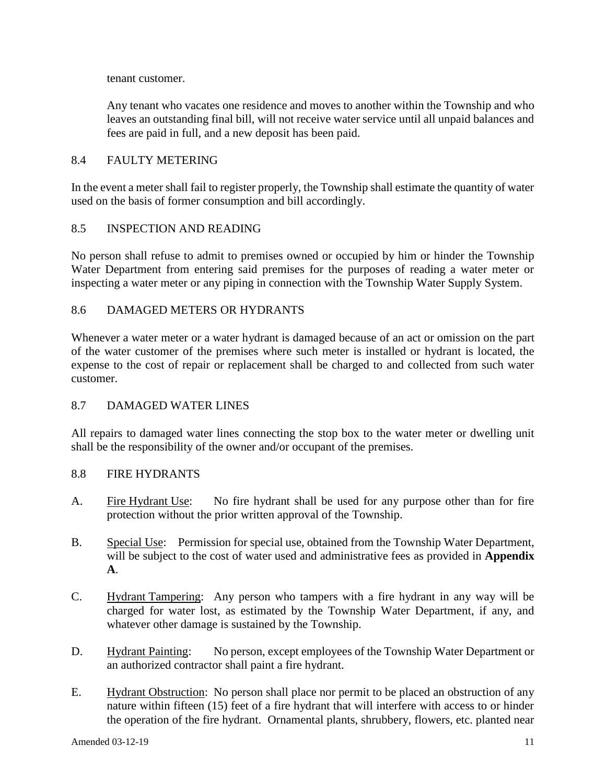tenant customer.

Any tenant who vacates one residence and moves to another within the Township and who leaves an outstanding final bill, will not receive water service until all unpaid balances and fees are paid in full, and a new deposit has been paid.

### 8.4 FAULTY METERING

In the event a meter shall fail to register properly, the Township shall estimate the quantity of water used on the basis of former consumption and bill accordingly.

### 8.5 INSPECTION AND READING

No person shall refuse to admit to premises owned or occupied by him or hinder the Township Water Department from entering said premises for the purposes of reading a water meter or inspecting a water meter or any piping in connection with the Township Water Supply System.

### 8.6 DAMAGED METERS OR HYDRANTS

Whenever a water meter or a water hydrant is damaged because of an act or omission on the part of the water customer of the premises where such meter is installed or hydrant is located, the expense to the cost of repair or replacement shall be charged to and collected from such water customer.

### 8.7 DAMAGED WATER LINES

All repairs to damaged water lines connecting the stop box to the water meter or dwelling unit shall be the responsibility of the owner and/or occupant of the premises.

### 8.8 FIRE HYDRANTS

- A. Fire Hydrant Use: No fire hydrant shall be used for any purpose other than for fire protection without the prior written approval of the Township.
- B. Special Use: Permission for special use, obtained from the Township Water Department, will be subject to the cost of water used and administrative fees as provided in **Appendix A**.
- C. Hydrant Tampering: Any person who tampers with a fire hydrant in any way will be charged for water lost, as estimated by the Township Water Department, if any, and whatever other damage is sustained by the Township.
- D. Hydrant Painting: No person, except employees of the Township Water Department or an authorized contractor shall paint a fire hydrant.
- E. Hydrant Obstruction: No person shall place nor permit to be placed an obstruction of any nature within fifteen (15) feet of a fire hydrant that will interfere with access to or hinder the operation of the fire hydrant. Ornamental plants, shrubbery, flowers, etc. planted near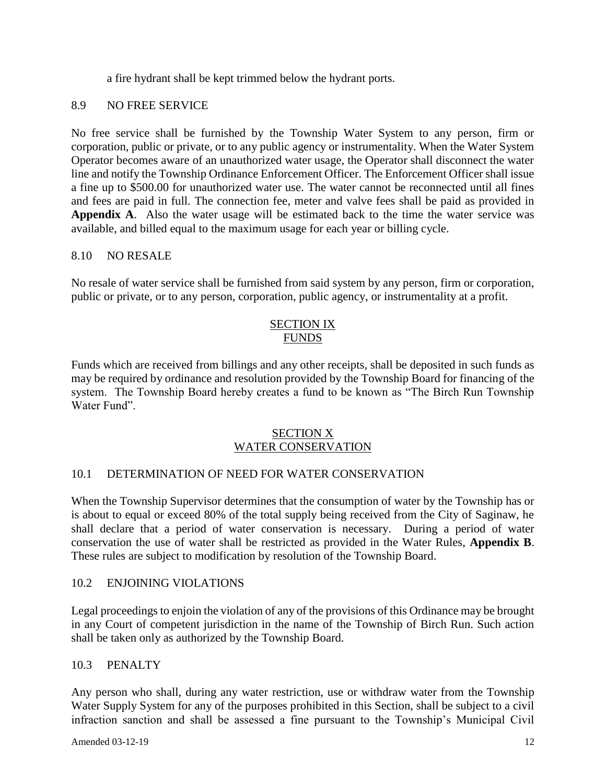a fire hydrant shall be kept trimmed below the hydrant ports.

## 8.9 NO FREE SERVICE

No free service shall be furnished by the Township Water System to any person, firm or corporation, public or private, or to any public agency or instrumentality. When the Water System Operator becomes aware of an unauthorized water usage, the Operator shall disconnect the water line and notify the Township Ordinance Enforcement Officer. The Enforcement Officer shall issue a fine up to \$500.00 for unauthorized water use. The water cannot be reconnected until all fines and fees are paid in full. The connection fee, meter and valve fees shall be paid as provided in **Appendix A**. Also the water usage will be estimated back to the time the water service was available, and billed equal to the maximum usage for each year or billing cycle.

### 8.10 NO RESALE

No resale of water service shall be furnished from said system by any person, firm or corporation, public or private, or to any person, corporation, public agency, or instrumentality at a profit.

### SECTION IX **FUNDS**

Funds which are received from billings and any other receipts, shall be deposited in such funds as may be required by ordinance and resolution provided by the Township Board for financing of the system. The Township Board hereby creates a fund to be known as "The Birch Run Township Water Fund".

### SECTION X WATER CONSERVATION

### 10.1 DETERMINATION OF NEED FOR WATER CONSERVATION

When the Township Supervisor determines that the consumption of water by the Township has or is about to equal or exceed 80% of the total supply being received from the City of Saginaw, he shall declare that a period of water conservation is necessary. During a period of water conservation the use of water shall be restricted as provided in the Water Rules, **Appendix B**. These rules are subject to modification by resolution of the Township Board.

### 10.2 ENJOINING VIOLATIONS

Legal proceedings to enjoin the violation of any of the provisions of this Ordinance may be brought in any Court of competent jurisdiction in the name of the Township of Birch Run. Such action shall be taken only as authorized by the Township Board.

### 10.3 PENALTY

Any person who shall, during any water restriction, use or withdraw water from the Township Water Supply System for any of the purposes prohibited in this Section, shall be subject to a civil infraction sanction and shall be assessed a fine pursuant to the Township's Municipal Civil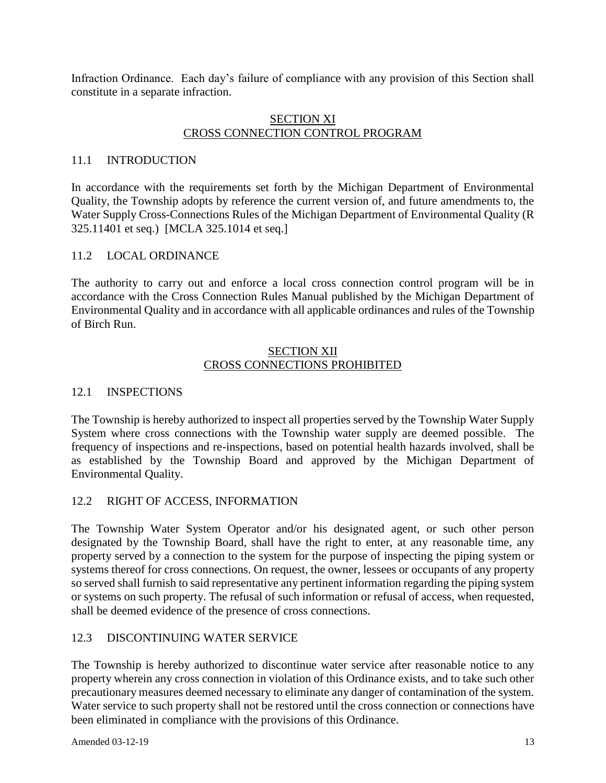Infraction Ordinance. Each day's failure of compliance with any provision of this Section shall constitute in a separate infraction.

#### SECTION XI CROSS CONNECTION CONTROL PROGRAM

### 11.1 INTRODUCTION

In accordance with the requirements set forth by the Michigan Department of Environmental Quality, the Township adopts by reference the current version of, and future amendments to, the Water Supply Cross-Connections Rules of the Michigan Department of Environmental Quality (R 325.11401 et seq.) [MCLA 325.1014 et seq.]

#### 11.2 LOCAL ORDINANCE

The authority to carry out and enforce a local cross connection control program will be in accordance with the Cross Connection Rules Manual published by the Michigan Department of Environmental Quality and in accordance with all applicable ordinances and rules of the Township of Birch Run.

### SECTION XII CROSS CONNECTIONS PROHIBITED

#### 12.1 INSPECTIONS

The Township is hereby authorized to inspect all properties served by the Township Water Supply System where cross connections with the Township water supply are deemed possible. The frequency of inspections and re-inspections, based on potential health hazards involved, shall be as established by the Township Board and approved by the Michigan Department of Environmental Quality.

### 12.2 RIGHT OF ACCESS, INFORMATION

The Township Water System Operator and/or his designated agent, or such other person designated by the Township Board, shall have the right to enter, at any reasonable time, any property served by a connection to the system for the purpose of inspecting the piping system or systems thereof for cross connections. On request, the owner, lessees or occupants of any property so served shall furnish to said representative any pertinent information regarding the piping system or systems on such property. The refusal of such information or refusal of access, when requested, shall be deemed evidence of the presence of cross connections.

### 12.3 DISCONTINUING WATER SERVICE

The Township is hereby authorized to discontinue water service after reasonable notice to any property wherein any cross connection in violation of this Ordinance exists, and to take such other precautionary measures deemed necessary to eliminate any danger of contamination of the system. Water service to such property shall not be restored until the cross connection or connections have been eliminated in compliance with the provisions of this Ordinance.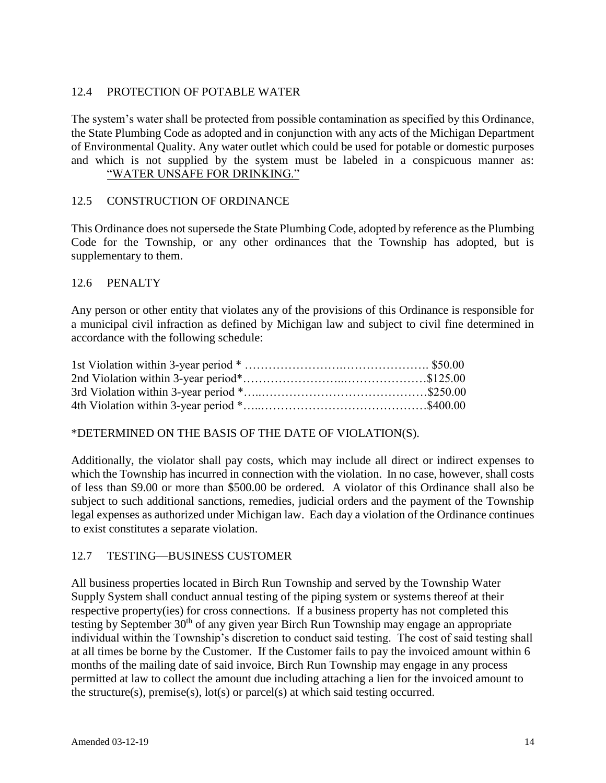### 12.4 PROTECTION OF POTABLE WATER

The system's water shall be protected from possible contamination as specified by this Ordinance, the State Plumbing Code as adopted and in conjunction with any acts of the Michigan Department of Environmental Quality. Any water outlet which could be used for potable or domestic purposes and which is not supplied by the system must be labeled in a conspicuous manner as:

## "WATER UNSAFE FOR DRINKING."

### 12.5 CONSTRUCTION OF ORDINANCE

This Ordinance does not supersede the State Plumbing Code, adopted by reference as the Plumbing Code for the Township, or any other ordinances that the Township has adopted, but is supplementary to them.

### 12.6 PENALTY

Any person or other entity that violates any of the provisions of this Ordinance is responsible for a municipal civil infraction as defined by Michigan law and subject to civil fine determined in accordance with the following schedule:

\*DETERMINED ON THE BASIS OF THE DATE OF VIOLATION(S).

Additionally, the violator shall pay costs, which may include all direct or indirect expenses to which the Township has incurred in connection with the violation. In no case, however, shall costs of less than \$9.00 or more than \$500.00 be ordered. A violator of this Ordinance shall also be subject to such additional sanctions, remedies, judicial orders and the payment of the Township legal expenses as authorized under Michigan law. Each day a violation of the Ordinance continues to exist constitutes a separate violation.

## 12.7 TESTING—BUSINESS CUSTOMER

All business properties located in Birch Run Township and served by the Township Water Supply System shall conduct annual testing of the piping system or systems thereof at their respective property(ies) for cross connections. If a business property has not completed this testing by September  $30<sup>th</sup>$  of any given year Birch Run Township may engage an appropriate individual within the Township's discretion to conduct said testing. The cost of said testing shall at all times be borne by the Customer. If the Customer fails to pay the invoiced amount within 6 months of the mailing date of said invoice, Birch Run Township may engage in any process permitted at law to collect the amount due including attaching a lien for the invoiced amount to the structure(s), premise(s),  $lot(s)$  or parcel(s) at which said testing occurred.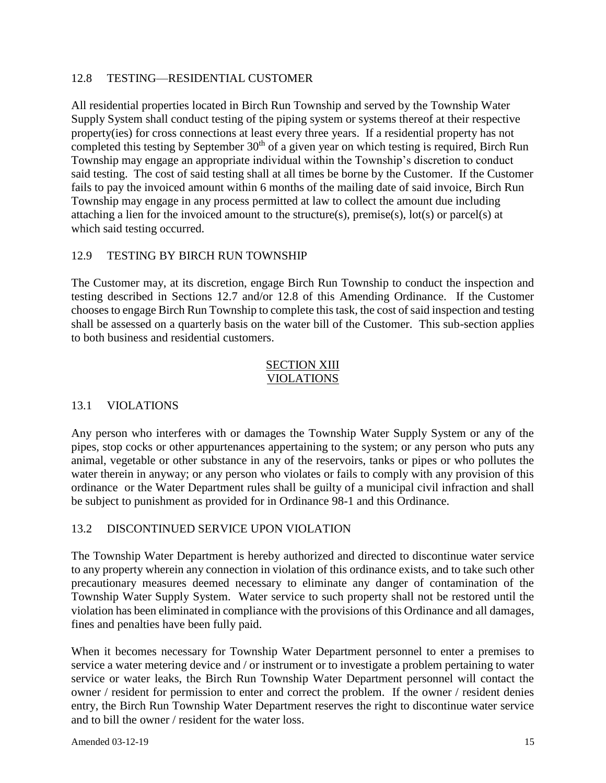## 12.8 TESTING—RESIDENTIAL CUSTOMER

All residential properties located in Birch Run Township and served by the Township Water Supply System shall conduct testing of the piping system or systems thereof at their respective property(ies) for cross connections at least every three years. If a residential property has not completed this testing by September  $30<sup>th</sup>$  of a given year on which testing is required, Birch Run Township may engage an appropriate individual within the Township's discretion to conduct said testing. The cost of said testing shall at all times be borne by the Customer. If the Customer fails to pay the invoiced amount within 6 months of the mailing date of said invoice, Birch Run Township may engage in any process permitted at law to collect the amount due including attaching a lien for the invoiced amount to the structure(s), premise(s), lot(s) or parcel(s) at which said testing occurred.

## 12.9 TESTING BY BIRCH RUN TOWNSHIP

The Customer may, at its discretion, engage Birch Run Township to conduct the inspection and testing described in Sections 12.7 and/or 12.8 of this Amending Ordinance. If the Customer chooses to engage Birch Run Township to complete this task, the cost of said inspection and testing shall be assessed on a quarterly basis on the water bill of the Customer. This sub-section applies to both business and residential customers.

#### SECTION XIII VIOLATIONS

### 13.1 VIOLATIONS

Any person who interferes with or damages the Township Water Supply System or any of the pipes, stop cocks or other appurtenances appertaining to the system; or any person who puts any animal, vegetable or other substance in any of the reservoirs, tanks or pipes or who pollutes the water therein in anyway; or any person who violates or fails to comply with any provision of this ordinance or the Water Department rules shall be guilty of a municipal civil infraction and shall be subject to punishment as provided for in Ordinance 98-1 and this Ordinance.

### 13.2 DISCONTINUED SERVICE UPON VIOLATION

The Township Water Department is hereby authorized and directed to discontinue water service to any property wherein any connection in violation of this ordinance exists, and to take such other precautionary measures deemed necessary to eliminate any danger of contamination of the Township Water Supply System. Water service to such property shall not be restored until the violation has been eliminated in compliance with the provisions of this Ordinance and all damages, fines and penalties have been fully paid.

When it becomes necessary for Township Water Department personnel to enter a premises to service a water metering device and / or instrument or to investigate a problem pertaining to water service or water leaks, the Birch Run Township Water Department personnel will contact the owner / resident for permission to enter and correct the problem. If the owner / resident denies entry, the Birch Run Township Water Department reserves the right to discontinue water service and to bill the owner / resident for the water loss.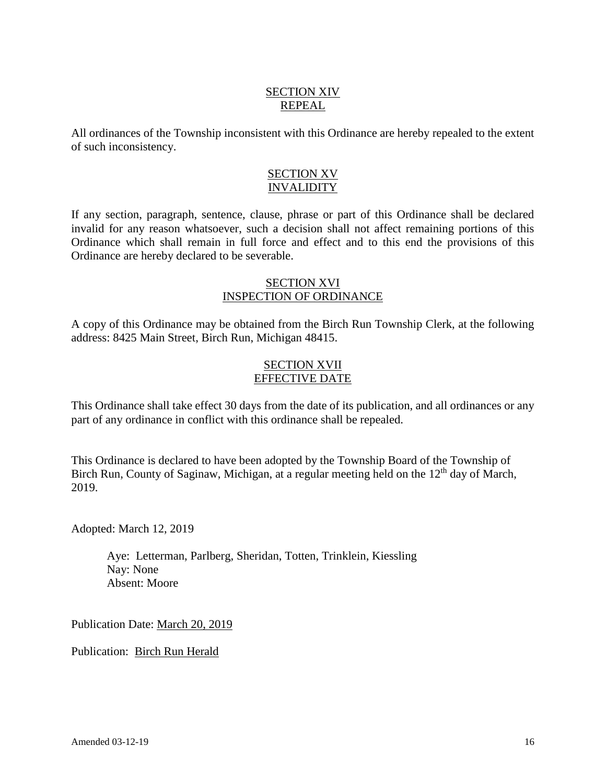## SECTION XIV REPEAL

All ordinances of the Township inconsistent with this Ordinance are hereby repealed to the extent of such inconsistency.

### SECTION XV INVALIDITY

If any section, paragraph, sentence, clause, phrase or part of this Ordinance shall be declared invalid for any reason whatsoever, such a decision shall not affect remaining portions of this Ordinance which shall remain in full force and effect and to this end the provisions of this Ordinance are hereby declared to be severable.

### SECTION XVI INSPECTION OF ORDINANCE

A copy of this Ordinance may be obtained from the Birch Run Township Clerk, at the following address: 8425 Main Street, Birch Run, Michigan 48415.

## SECTION XVII EFFECTIVE DATE

This Ordinance shall take effect 30 days from the date of its publication, and all ordinances or any part of any ordinance in conflict with this ordinance shall be repealed.

This Ordinance is declared to have been adopted by the Township Board of the Township of Birch Run, County of Saginaw, Michigan, at a regular meeting held on the 12<sup>th</sup> day of March, 2019.

Adopted: March 12, 2019

Aye: Letterman, Parlberg, Sheridan, Totten, Trinklein, Kiessling Nay: None Absent: Moore

Publication Date: March 20, 2019

Publication: Birch Run Herald